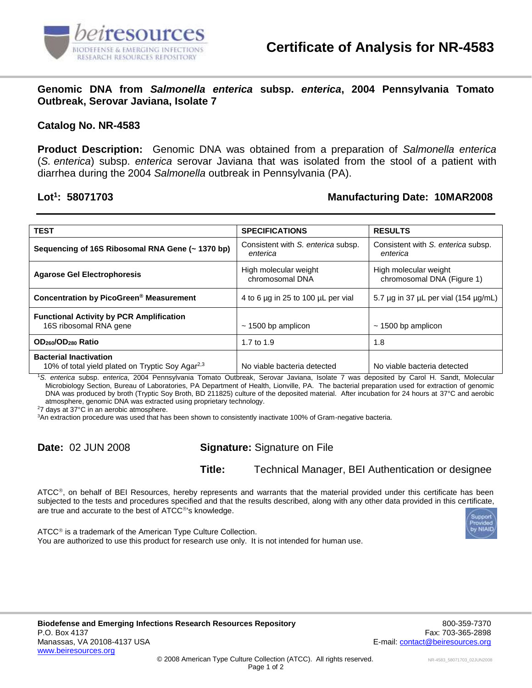

**Genomic DNA from** *Salmonella enterica* **subsp.** *enterica***, 2004 Pennsylvania Tomato Outbreak, Serovar Javiana, Isolate 7**

## **Catalog No. NR-4583**

**Product Description:** Genomic DNA was obtained from a preparation of *Salmonella enterica* (*S. enterica*) subsp. *enterica* serovar Javiana that was isolated from the stool of a patient with diarrhea during the 2004 *Salmonella* outbreak in Pennsylvania (PA).

## Lot<sup>1</sup>: 58071703

## **: 58071703 Manufacturing Date: 10MAR2008**

| <b>TEST</b>                                                                                   | <b>SPECIFICATIONS</b>                          | <b>RESULTS</b>                                      |
|-----------------------------------------------------------------------------------------------|------------------------------------------------|-----------------------------------------------------|
| Sequencing of 16S Ribosomal RNA Gene (~ 1370 bp)                                              | Consistent with S. enterica subsp.<br>enterica | Consistent with S. enterica subsp.<br>enterica      |
| <b>Agarose Gel Electrophoresis</b>                                                            | High molecular weight<br>chromosomal DNA       | High molecular weight<br>chromosomal DNA (Figure 1) |
| Concentration by PicoGreen <sup>®</sup> Measurement                                           | 4 to 6 $\mu$ g in 25 to 100 $\mu$ L per vial   | 5.7 $\mu$ g in 37 $\mu$ L per vial (154 $\mu$ g/mL) |
| <b>Functional Activity by PCR Amplification</b><br>16S ribosomal RNA gene                     | $\sim$ 1500 bp amplicon                        | $\sim$ 1500 bp amplicon                             |
| OD <sub>260</sub> /OD <sub>280</sub> Ratio                                                    | 1.7 to 1.9                                     | 1.8                                                 |
| <b>Bacterial Inactivation</b><br>10% of total yield plated on Tryptic Soy Agar <sup>2,3</sup> | No viable bacteria detected                    | No viable bacteria detected                         |

<sup>1</sup>*S. enterica* subsp. *enterica*, 2004 Pennsylvania Tomato Outbreak, Serovar Javiana, Isolate 7 was deposited by Carol H. Sandt, Molecular Microbiology Section, Bureau of Laboratories, PA Department of Health, Lionville, PA. The bacterial preparation used for extraction of genomic DNA was produced by broth (Tryptic Soy Broth, BD 211825) culture of the deposited material. After incubation for 24 hours at 37°C and aerobic atmosphere, genomic DNA was extracted using proprietary technology.

<sup>2</sup>7 days at 37°C in an aerobic atmosphere.

<sup>3</sup>An extraction procedure was used that has been shown to consistently inactivate 100% of Gram-negative bacteria.

**Date:** 02 JUN 2008 **Signature:** Signature on File

**Title:** Technical Manager, BEI Authentication or designee

ATCC®, on behalf of BEI Resources, hereby represents and warrants that the material provided under this certificate has been subjected to the tests and procedures specified and that the results described, along with any other data provided in this certificate, are true and accurate to the best of ATCC®'s knowledge.



ATCC<sup>®</sup> is a trademark of the American Type Culture Collection. You are authorized to use this product for research use only. It is not intended for human use.